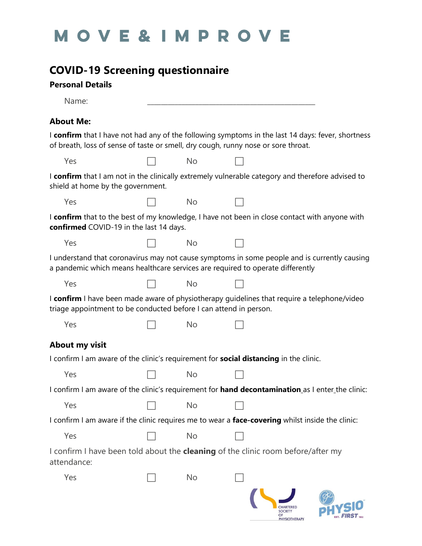## MOVE&IMPROVE

## **COVID-19 Screening questionnaire**

## **Personal Details**

| Name:                                                                                                                                                                                  |           |                                        |  |
|----------------------------------------------------------------------------------------------------------------------------------------------------------------------------------------|-----------|----------------------------------------|--|
| <b>About Me:</b>                                                                                                                                                                       |           |                                        |  |
| I confirm that I have not had any of the following symptoms in the last 14 days: fever, shortness<br>of breath, loss of sense of taste or smell, dry cough, runny nose or sore throat. |           |                                        |  |
| Yes                                                                                                                                                                                    | <b>No</b> |                                        |  |
| I confirm that I am not in the clinically extremely vulnerable category and therefore advised to<br>shield at home by the government.                                                  |           |                                        |  |
| Yes                                                                                                                                                                                    | <b>No</b> |                                        |  |
| I confirm that to the best of my knowledge, I have not been in close contact with anyone with<br>confirmed COVID-19 in the last 14 days.                                               |           |                                        |  |
| Yes                                                                                                                                                                                    | <b>No</b> |                                        |  |
| I understand that coronavirus may not cause symptoms in some people and is currently causing<br>a pandemic which means healthcare services are required to operate differently         |           |                                        |  |
| Yes                                                                                                                                                                                    | <b>No</b> |                                        |  |
| I confirm I have been made aware of physiotherapy guidelines that require a telephone/video<br>triage appointment to be conducted before I can attend in person.                       |           |                                        |  |
| Yes                                                                                                                                                                                    | <b>No</b> |                                        |  |
| About my visit                                                                                                                                                                         |           |                                        |  |
| I confirm I am aware of the clinic's requirement for <b>social distancing</b> in the clinic.                                                                                           |           |                                        |  |
| Yes                                                                                                                                                                                    | <b>No</b> |                                        |  |
| I confirm I am aware of the clinic's requirement for hand decontamination as I enter the clinic:                                                                                       |           |                                        |  |
| Yes                                                                                                                                                                                    | No        |                                        |  |
| I confirm I am aware if the clinic requires me to wear a face-covering whilst inside the clinic:                                                                                       |           |                                        |  |
| Yes                                                                                                                                                                                    | No        |                                        |  |
| I confirm I have been told about the <b>cleaning</b> of the clinic room before/after my<br>attendance:                                                                                 |           |                                        |  |
| Yes                                                                                                                                                                                    | No        |                                        |  |
|                                                                                                                                                                                        |           | <b>SOCIETY</b><br><b>PHYSIOTHERAPY</b> |  |